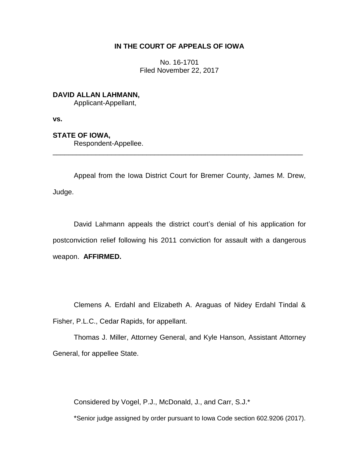# **IN THE COURT OF APPEALS OF IOWA**

No. 16-1701 Filed November 22, 2017

**DAVID ALLAN LAHMANN,**

Applicant-Appellant,

**vs.**

**STATE OF IOWA,**

Respondent-Appellee.

Appeal from the Iowa District Court for Bremer County, James M. Drew, Judge.

\_\_\_\_\_\_\_\_\_\_\_\_\_\_\_\_\_\_\_\_\_\_\_\_\_\_\_\_\_\_\_\_\_\_\_\_\_\_\_\_\_\_\_\_\_\_\_\_\_\_\_\_\_\_\_\_\_\_\_\_\_\_\_\_

David Lahmann appeals the district court's denial of his application for postconviction relief following his 2011 conviction for assault with a dangerous weapon. **AFFIRMED.**

Clemens A. Erdahl and Elizabeth A. Araguas of Nidey Erdahl Tindal & Fisher, P.L.C., Cedar Rapids, for appellant.

Thomas J. Miller, Attorney General, and Kyle Hanson, Assistant Attorney General, for appellee State.

Considered by Vogel, P.J., McDonald, J., and Carr, S.J.\*

\*Senior judge assigned by order pursuant to Iowa Code section 602.9206 (2017).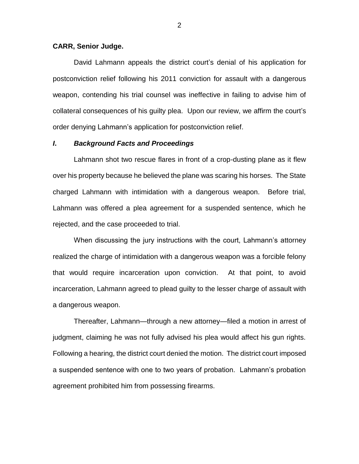#### **CARR, Senior Judge.**

David Lahmann appeals the district court's denial of his application for postconviction relief following his 2011 conviction for assault with a dangerous weapon, contending his trial counsel was ineffective in failing to advise him of collateral consequences of his guilty plea. Upon our review, we affirm the court's order denying Lahmann's application for postconviction relief.

## *I***.** *Background Facts and Proceedings*

Lahmann shot two rescue flares in front of a crop-dusting plane as it flew over his property because he believed the plane was scaring his horses. The State charged Lahmann with intimidation with a dangerous weapon. Before trial, Lahmann was offered a plea agreement for a suspended sentence, which he rejected, and the case proceeded to trial.

When discussing the jury instructions with the court, Lahmann's attorney realized the charge of intimidation with a dangerous weapon was a forcible felony that would require incarceration upon conviction. At that point, to avoid incarceration, Lahmann agreed to plead guilty to the lesser charge of assault with a dangerous weapon.

Thereafter, Lahmann—through a new attorney—filed a motion in arrest of judgment, claiming he was not fully advised his plea would affect his gun rights. Following a hearing, the district court denied the motion. The district court imposed a suspended sentence with one to two years of probation. Lahmann's probation agreement prohibited him from possessing firearms.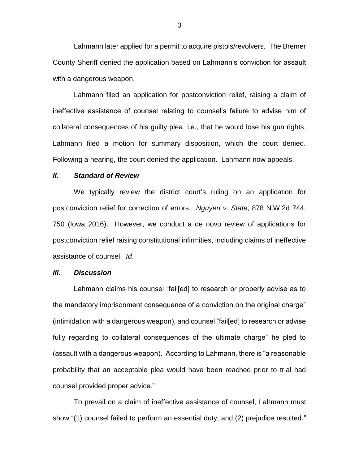Lahmann later applied for a permit to acquire pistols/revolvers. The Bremer County Sheriff denied the application based on Lahmann's conviction for assault with a dangerous weapon.

Lahmann filed an application for postconviction relief, raising a claim of ineffective assistance of counsel relating to counsel's failure to advise him of collateral consequences of his guilty plea, i.e., that he would lose his gun rights. Lahmann filed a motion for summary disposition, which the court denied. Following a hearing, the court denied the application. Lahmann now appeals.

### *II***.** *Standard of Review*

We typically review the district court's ruling on an application for postconviction relief for correction of errors. *Nguyen v*. *State*, 878 N.W.2d 744, 750 (Iowa 2016). However, we conduct a de novo review of applications for postconviction relief raising constitutional infirmities, including claims of ineffective assistance of counsel. *Id*.

#### *III***.** *Discussion*

Lahmann claims his counsel "fail[ed] to research or properly advise as to the mandatory imprisonment consequence of a conviction on the original charge" (intimidation with a dangerous weapon), and counsel "fail[ed] to research or advise fully regarding to collateral consequences of the ultimate charge" he pled to (assault with a dangerous weapon). According to Lahmann, there is "a reasonable probability that an acceptable plea would have been reached prior to trial had counsel provided proper advice."

To prevail on a claim of ineffective assistance of counsel, Lahmann must show "(1) counsel failed to perform an essential duty; and (2) prejudice resulted."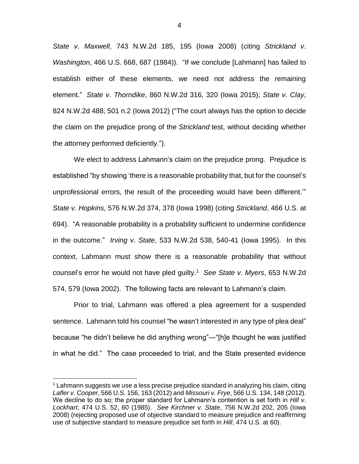*State v*. *Maxwell*, 743 N.W.2d 185, 195 (Iowa 2008) (citing *Strickland v*. *Washington*, 466 U.S. 668, 687 (1984)). "If we conclude [Lahmann] has failed to establish either of these elements, we need not address the remaining element." *State v*. *Thorndike*, 860 N.W.2d 316, 320 (Iowa 2015); *State v*. *Clay*, 824 N.W.2d 488, 501 n.2 (Iowa 2012) ("The court always has the option to decide the claim on the prejudice prong of the *Strickland* test, without deciding whether the attorney performed deficiently.").

We elect to address Lahmann's claim on the prejudice prong. Prejudice is established "by showing 'there is a reasonable probability that, but for the counsel's unprofessional errors, the result of the proceeding would have been different.'" *State v*. *Hopkins*, 576 N.W.2d 374, 378 (Iowa 1998) (citing *Strickland*, 466 U.S. at 694). "A reasonable probability is a probability sufficient to undermine confidence in the outcome." *Irving v*. *State*, 533 N.W.2d 538, 540-41 (Iowa 1995). In this context, Lahmann must show there is a reasonable probability that without counsel's error he would not have pled guilty.<sup>1</sup> *See State v*. *Myers*, 653 N.W.2d 574, 579 (Iowa 2002). The following facts are relevant to Lahmann's claim.

Prior to trial, Lahmann was offered a plea agreement for a suspended sentence. Lahmann told his counsel "he wasn't interested in any type of plea deal" because "he didn't believe he did anything wrong"—"[h]e thought he was justified in what he did." The case proceeded to trial, and the State presented evidence

 $\overline{a}$ 

4

 $1$  Lahmann suggests we use a less precise prejudice standard in analyzing his claim, citing *Lafler v. Cooper*, 566 U.S. 156, 163 (2012) and *Missouri v. Frye*, 566 U.S. 134, 148 (2012). We decline to do so; the proper standard for Lahmann's contention is set forth in *Hill v*. *Lockhart*, 474 U.S. 52, 60 (1985). *See Kirchner v. State*, 756 N.W.2d 202, 205 (Iowa 2008) (rejecting proposed use of objective standard to measure prejudice and reaffirming use of subjective standard to measure prejudice set forth in *Hill*, 474 U.S. at 60).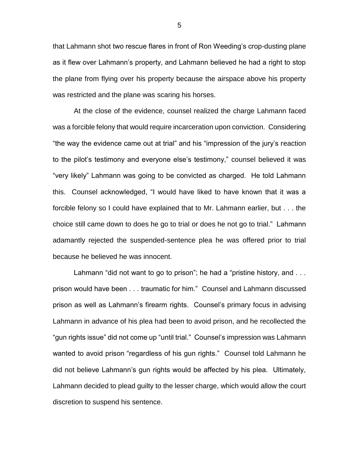that Lahmann shot two rescue flares in front of Ron Weeding's crop-dusting plane as it flew over Lahmann's property, and Lahmann believed he had a right to stop the plane from flying over his property because the airspace above his property was restricted and the plane was scaring his horses.

At the close of the evidence, counsel realized the charge Lahmann faced was a forcible felony that would require incarceration upon conviction. Considering "the way the evidence came out at trial" and his "impression of the jury's reaction to the pilot's testimony and everyone else's testimony," counsel believed it was "very likely" Lahmann was going to be convicted as charged. He told Lahmann this. Counsel acknowledged, "I would have liked to have known that it was a forcible felony so I could have explained that to Mr. Lahmann earlier, but . . . the choice still came down to does he go to trial or does he not go to trial." Lahmann adamantly rejected the suspended-sentence plea he was offered prior to trial because he believed he was innocent.

Lahmann "did not want to go to prison"; he had a "pristine history, and ... prison would have been . . . traumatic for him." Counsel and Lahmann discussed prison as well as Lahmann's firearm rights. Counsel's primary focus in advising Lahmann in advance of his plea had been to avoid prison, and he recollected the "gun rights issue" did not come up "until trial." Counsel's impression was Lahmann wanted to avoid prison "regardless of his gun rights." Counsel told Lahmann he did not believe Lahmann's gun rights would be affected by his plea. Ultimately, Lahmann decided to plead guilty to the lesser charge, which would allow the court discretion to suspend his sentence.

5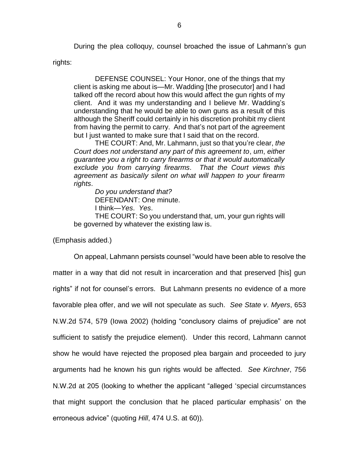During the plea colloquy, counsel broached the issue of Lahmann's gun

rights:

DEFENSE COUNSEL: Your Honor, one of the things that my cIient is asking me about is—Mr. Wadding [the prosecutor] and I had talked off the record about how this would affect the gun rights of my client. And it was my understanding and I believe Mr. Wadding's understanding that he would be able to own guns as a result of this although the Sheriff could certainly in his discretion prohibit my client from having the permit to carry. And that's not part of the agreement but I just wanted to make sure that I said that on the record.

THE COURT: And, Mr. Lahmann, just so that you're clear, *the Court does not understand any part of this agreement to*, *um*, *either guarantee you a right to carry firearms or that it would automatically exclude you from carrying firearms*. *That the Court views this agreement as basicaIIy silent on what will happen to your firearm rights*.

*Do you understand that?* DEFENDANT: One minute. I think—*Yes*. *Yes*.

THE COURT: So you understand that, um, your gun rights will be governed by whatever the existing law is.

(Emphasis added.)

On appeal, Lahmann persists counsel "would have been able to resolve the matter in a way that did not result in incarceration and that preserved [his] gun rights" if not for counsel's errors. But Lahmann presents no evidence of a more favorable plea offer, and we will not speculate as such. *See State v*. *Myers*, 653 N.W.2d 574, 579 (Iowa 2002) (holding "conclusory claims of prejudice" are not sufficient to satisfy the prejudice element). Under this record, Lahmann cannot show he would have rejected the proposed plea bargain and proceeded to jury arguments had he known his gun rights would be affected. *See Kirchner*, 756 N.W.2d at 205 (looking to whether the applicant "alleged 'special circumstances that might support the conclusion that he placed particular emphasis' on the erroneous advice" (quoting *Hill*, 474 U.S. at 60)).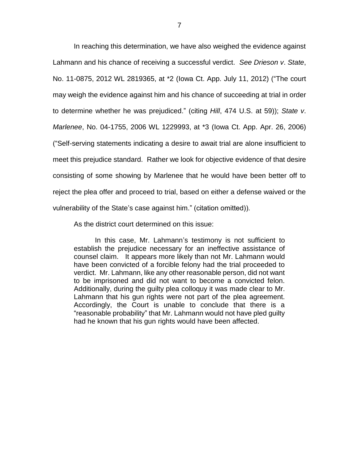In reaching this determination, we have also weighed the evidence against Lahmann and his chance of receiving a successful verdict. *See Drieson v*. *State*, No. 11-0875, 2012 WL 2819365, at \*2 (Iowa Ct. App. July 11, 2012) ("The court may weigh the evidence against him and his chance of succeeding at trial in order to determine whether he was prejudiced." (citing *Hill*, 474 U.S. at 59)); *State v*. *Marlenee*, No. 04-1755, 2006 WL 1229993, at \*3 (Iowa Ct. App. Apr. 26, 2006) ("Self-serving statements indicating a desire to await trial are alone insufficient to meet this prejudice standard. Rather we look for objective evidence of that desire consisting of some showing by Marlenee that he would have been better off to reject the plea offer and proceed to trial, based on either a defense waived or the vulnerability of the State's case against him." (citation omitted)).

As the district court determined on this issue:

In this case, Mr. Lahmann's testimony is not sufficient to establish the prejudice necessary for an ineffective assistance of counsel claim. It appears more likely than not Mr. Lahmann would have been convicted of a forcible felony had the trial proceeded to verdict. Mr. Lahmann, like any other reasonable person, did not want to be imprisoned and did not want to become a convicted felon. Additionally, during the guilty plea colloquy it was made clear to Mr. Lahmann that his gun rights were not part of the plea agreement. Accordingly, the Court is unable to conclude that there is a "reasonable probability" that Mr. Lahmann would not have pled guilty had he known that his gun rights would have been affected.